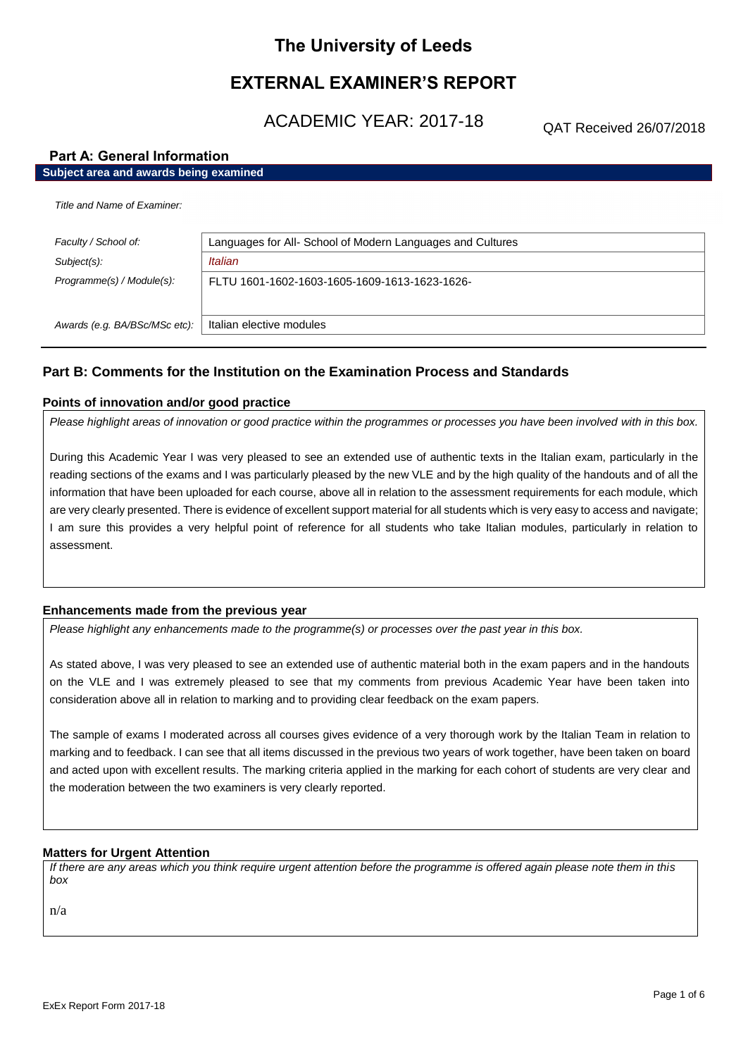# **The University of Leeds**

# **EXTERNAL EXAMINER'S REPORT**

ACADEMIC YEAR: 2017-18

QAT Received 26/07/2018

## **Part A: General Information**

# **Subject area and awards being examined**

| Faculty / School of:          | Languages for All- School of Modern Languages and Cultures |
|-------------------------------|------------------------------------------------------------|
| Subject(s):                   | Italian                                                    |
| Programme(s) / Module(s):     | FLTU 1601-1602-1603-1605-1609-1613-1623-1626-              |
| Awards (e.g. BA/BSc/MSc etc): | Italian elective modules                                   |

# **Part B: Comments for the Institution on the Examination Process and Standards**

### **Points of innovation and/or good practice**

*Please highlight areas of innovation or good practice within the programmes or processes you have been involved with in this box.*

During this Academic Year I was very pleased to see an extended use of authentic texts in the Italian exam, particularly in the reading sections of the exams and I was particularly pleased by the new VLE and by the high quality of the handouts and of all the information that have been uploaded for each course, above all in relation to the assessment requirements for each module, which are very clearly presented. There is evidence of excellent support material for all students which is very easy to access and navigate; I am sure this provides a very helpful point of reference for all students who take Italian modules, particularly in relation to assessment.

## **Enhancements made from the previous year**

*Please highlight any enhancements made to the programme(s) or processes over the past year in this box.*

As stated above, I was very pleased to see an extended use of authentic material both in the exam papers and in the handouts on the VLE and I was extremely pleased to see that my comments from previous Academic Year have been taken into consideration above all in relation to marking and to providing clear feedback on the exam papers.

The sample of exams I moderated across all courses gives evidence of a very thorough work by the Italian Team in relation to marking and to feedback. I can see that all items discussed in the previous two years of work together, have been taken on board and acted upon with excellent results. The marking criteria applied in the marking for each cohort of students are very clear and the moderation between the two examiners is very clearly reported.

## **Matters for Urgent Attention**

*If there are any areas which you think require urgent attention before the programme is offered again please note them in this box*

n/a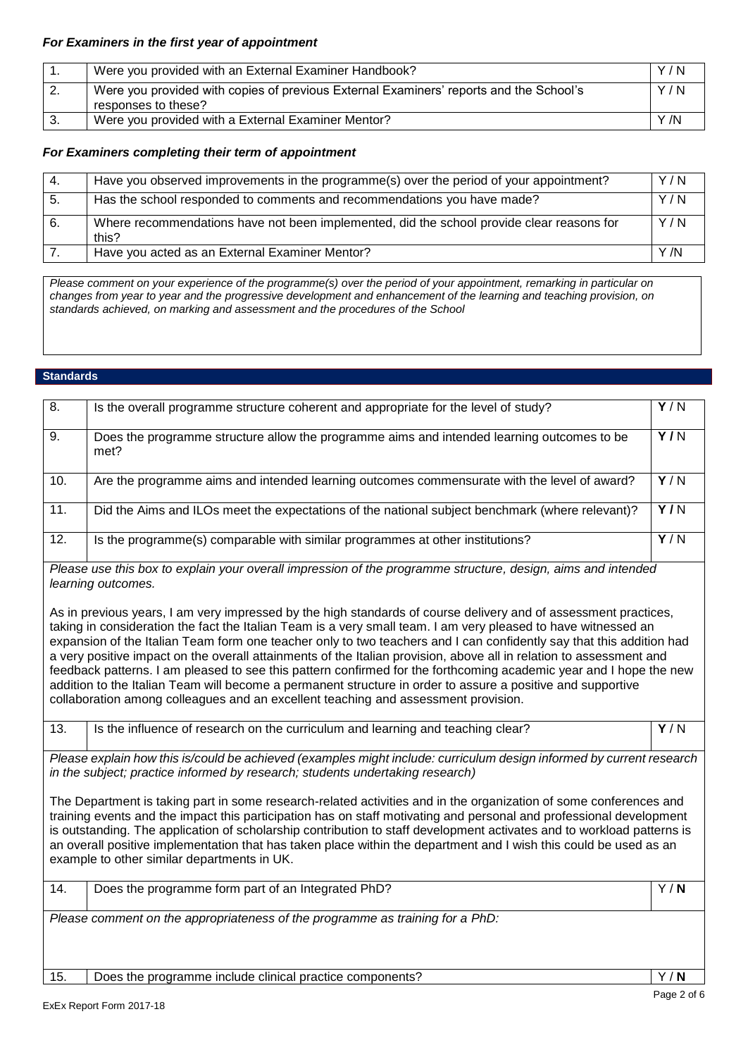# *For Examiners in the first year of appointment*

|    | Were you provided with an External Examiner Handbook?                                                         | Y/N  |
|----|---------------------------------------------------------------------------------------------------------------|------|
|    | Were you provided with copies of previous External Examiners' reports and the School's<br>responses to these? | Y/N  |
| 3. | Were you provided with a External Examiner Mentor?                                                            | Y /N |

## *For Examiners completing their term of appointment*

| -4. | Have you observed improvements in the programme(s) over the period of your appointment?            | Y/N  |
|-----|----------------------------------------------------------------------------------------------------|------|
| -5. | Has the school responded to comments and recommendations you have made?                            | Y/N  |
| 6.  | Where recommendations have not been implemented, did the school provide clear reasons for<br>this? | Y/N  |
|     | Have you acted as an External Examiner Mentor?                                                     | Y /N |

*Please comment on your experience of the programme(s) over the period of your appointment, remarking in particular on changes from year to year and the progressive development and enhancement of the learning and teaching provision, on standards achieved, on marking and assessment and the procedures of the School*

### **Standards**

| 15.               | Does the programme include clinical practice components?                                                                                                                                                                                                                                                                                                                                                                                                                                                                                                                                                                                                                                                                                                                                                    | Y/N              |
|-------------------|-------------------------------------------------------------------------------------------------------------------------------------------------------------------------------------------------------------------------------------------------------------------------------------------------------------------------------------------------------------------------------------------------------------------------------------------------------------------------------------------------------------------------------------------------------------------------------------------------------------------------------------------------------------------------------------------------------------------------------------------------------------------------------------------------------------|------------------|
|                   | Please comment on the appropriateness of the programme as training for a PhD:                                                                                                                                                                                                                                                                                                                                                                                                                                                                                                                                                                                                                                                                                                                               |                  |
| 14.               | Does the programme form part of an Integrated PhD?                                                                                                                                                                                                                                                                                                                                                                                                                                                                                                                                                                                                                                                                                                                                                          | Y/N              |
|                   | The Department is taking part in some research-related activities and in the organization of some conferences and<br>training events and the impact this participation has on staff motivating and personal and professional development<br>is outstanding. The application of scholarship contribution to staff development activates and to workload patterns is<br>an overall positive implementation that has taken place within the department and I wish this could be used as an<br>example to other similar departments in UK.                                                                                                                                                                                                                                                                      |                  |
|                   | in the subject; practice informed by research; students undertaking research)                                                                                                                                                                                                                                                                                                                                                                                                                                                                                                                                                                                                                                                                                                                               |                  |
| 13.               | Is the influence of research on the curriculum and learning and teaching clear?<br>Please explain how this is/could be achieved (examples might include: curriculum design informed by current research                                                                                                                                                                                                                                                                                                                                                                                                                                                                                                                                                                                                     | $\overline{Y/N}$ |
|                   | As in previous years, I am very impressed by the high standards of course delivery and of assessment practices,<br>taking in consideration the fact the Italian Team is a very small team. I am very pleased to have witnessed an<br>expansion of the Italian Team form one teacher only to two teachers and I can confidently say that this addition had<br>a very positive impact on the overall attainments of the Italian provision, above all in relation to assessment and<br>feedback patterns. I am pleased to see this pattern confirmed for the forthcoming academic year and I hope the new<br>addition to the Italian Team will become a permanent structure in order to assure a positive and supportive<br>collaboration among colleagues and an excellent teaching and assessment provision. |                  |
|                   | Please use this box to explain your overall impression of the programme structure, design, aims and intended<br>learning outcomes.                                                                                                                                                                                                                                                                                                                                                                                                                                                                                                                                                                                                                                                                          |                  |
| $\overline{12}$ . | Is the programme(s) comparable with similar programmes at other institutions?                                                                                                                                                                                                                                                                                                                                                                                                                                                                                                                                                                                                                                                                                                                               | Y/N              |
| 11.               | Did the Aims and ILOs meet the expectations of the national subject benchmark (where relevant)?                                                                                                                                                                                                                                                                                                                                                                                                                                                                                                                                                                                                                                                                                                             | $\overline{Y/N}$ |
| 10.               | Are the programme aims and intended learning outcomes commensurate with the level of award?                                                                                                                                                                                                                                                                                                                                                                                                                                                                                                                                                                                                                                                                                                                 | Y/N              |
| 9.                | Does the programme structure allow the programme aims and intended learning outcomes to be<br>met?                                                                                                                                                                                                                                                                                                                                                                                                                                                                                                                                                                                                                                                                                                          | $\overline{Y/N}$ |
| 8.                | Is the overall programme structure coherent and appropriate for the level of study?                                                                                                                                                                                                                                                                                                                                                                                                                                                                                                                                                                                                                                                                                                                         | Y/N              |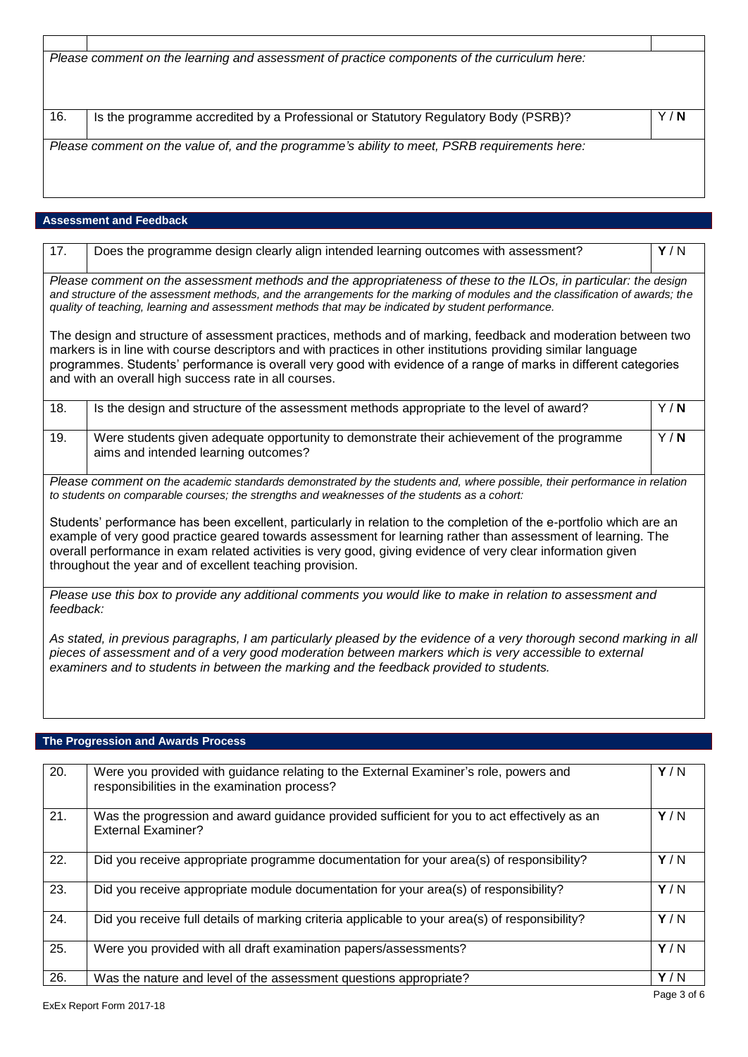| Please comment on the learning and assessment of practice components of the curriculum here: |                                                                                    |     |
|----------------------------------------------------------------------------------------------|------------------------------------------------------------------------------------|-----|
|                                                                                              |                                                                                    |     |
|                                                                                              |                                                                                    |     |
|                                                                                              |                                                                                    |     |
|                                                                                              |                                                                                    |     |
|                                                                                              |                                                                                    |     |
| 16.                                                                                          | Is the programme accredited by a Professional or Statutory Regulatory Body (PSRB)? | Y/N |
|                                                                                              |                                                                                    |     |
|                                                                                              |                                                                                    |     |
| Please comment on the value of, and the programme's ability to meet, PSRB requirements here: |                                                                                    |     |
|                                                                                              |                                                                                    |     |
|                                                                                              |                                                                                    |     |
|                                                                                              |                                                                                    |     |
|                                                                                              |                                                                                    |     |

# **Assessment and Feedback**

| 17.                                                                                                                                                                                                                                                                                                                                                                                                              | Does the programme design clearly align intended learning outcomes with assessment?                                                | Y/N |
|------------------------------------------------------------------------------------------------------------------------------------------------------------------------------------------------------------------------------------------------------------------------------------------------------------------------------------------------------------------------------------------------------------------|------------------------------------------------------------------------------------------------------------------------------------|-----|
| Please comment on the assessment methods and the appropriateness of these to the ILOs, in particular: the design<br>and structure of the assessment methods, and the arrangements for the marking of modules and the classification of awards; the<br>quality of teaching, learning and assessment methods that may be indicated by student performance.                                                         |                                                                                                                                    |     |
| The design and structure of assessment practices, methods and of marking, feedback and moderation between two<br>markers is in line with course descriptors and with practices in other institutions providing similar language<br>programmes. Students' performance is overall very good with evidence of a range of marks in different categories<br>and with an overall high success rate in all courses.     |                                                                                                                                    |     |
| 18.                                                                                                                                                                                                                                                                                                                                                                                                              | Is the design and structure of the assessment methods appropriate to the level of award?                                           | Y/N |
| 19.                                                                                                                                                                                                                                                                                                                                                                                                              | Were students given adequate opportunity to demonstrate their achievement of the programme<br>aims and intended learning outcomes? | Y/N |
| Please comment on the academic standards demonstrated by the students and, where possible, their performance in relation<br>to students on comparable courses; the strengths and weaknesses of the students as a cohort:                                                                                                                                                                                         |                                                                                                                                    |     |
| Students' performance has been excellent, particularly in relation to the completion of the e-portfolio which are an<br>example of very good practice geared towards assessment for learning rather than assessment of learning. The<br>overall performance in exam related activities is very good, giving evidence of very clear information given<br>throughout the year and of excellent teaching provision. |                                                                                                                                    |     |
| Please use this box to provide any additional comments you would like to make in relation to assessment and<br>feedback:                                                                                                                                                                                                                                                                                         |                                                                                                                                    |     |
| As stated, in previous paragraphs, I am particularly pleased by the evidence of a very thorough second marking in all<br>pieces of assessment and of a very good moderation between markers which is very accessible to external<br>examiners and to students in between the marking and the feedback provided to students.                                                                                      |                                                                                                                                    |     |

# **The Progression and Awards Process**

| 20. | Were you provided with guidance relating to the External Examiner's role, powers and<br>responsibilities in the examination process? | Y/N |
|-----|--------------------------------------------------------------------------------------------------------------------------------------|-----|
| 21. | Was the progression and award guidance provided sufficient for you to act effectively as an<br><b>External Examiner?</b>             | Y/N |
| 22. | Did you receive appropriate programme documentation for your area(s) of responsibility?                                              | Y/N |
| 23. | Did you receive appropriate module documentation for your area(s) of responsibility?                                                 | Y/N |
| 24. | Did you receive full details of marking criteria applicable to your area(s) of responsibility?                                       | Y/N |
| 25. | Were you provided with all draft examination papers/assessments?                                                                     | Y/N |
| 26. | Was the nature and level of the assessment questions appropriate?                                                                    | Y/N |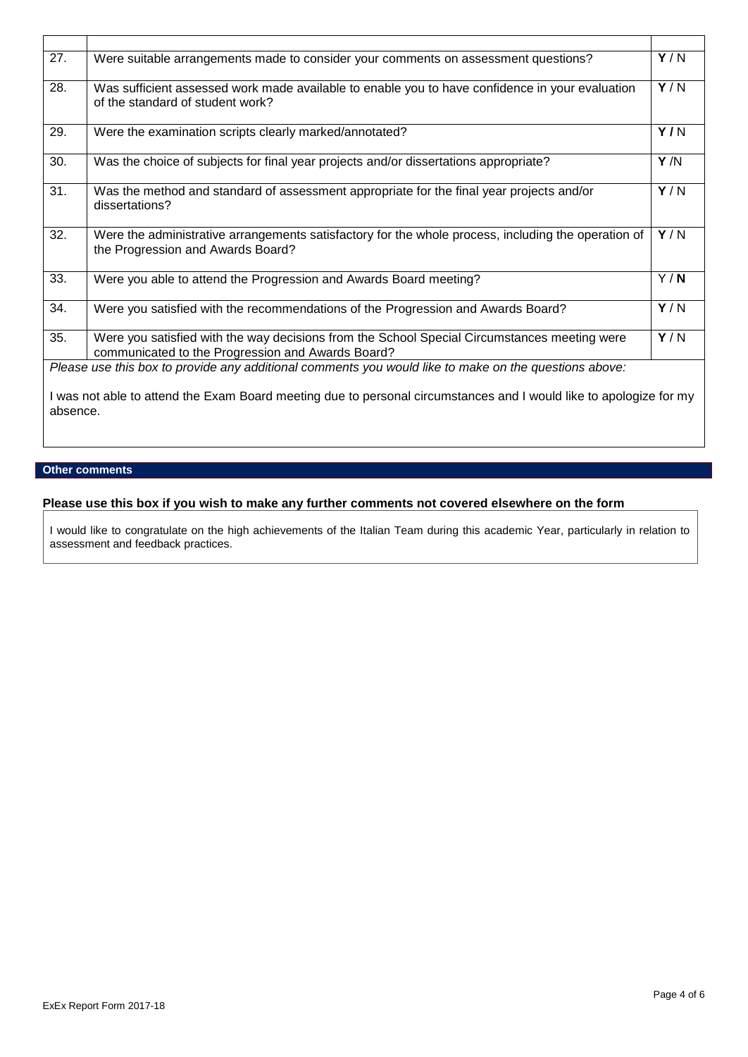| 27.      | Were suitable arrangements made to consider your comments on assessment questions?                                                                | Y/N |
|----------|---------------------------------------------------------------------------------------------------------------------------------------------------|-----|
| 28.      | Was sufficient assessed work made available to enable you to have confidence in your evaluation<br>of the standard of student work?               | Y/N |
| 29.      | Were the examination scripts clearly marked/annotated?                                                                                            | Y/N |
| 30.      | Was the choice of subjects for final year projects and/or dissertations appropriate?                                                              | Y/N |
| 31.      | Was the method and standard of assessment appropriate for the final year projects and/or<br>dissertations?                                        | Y/N |
| 32.      | Were the administrative arrangements satisfactory for the whole process, including the operation of<br>the Progression and Awards Board?          | Y/N |
| 33.      | Were you able to attend the Progression and Awards Board meeting?                                                                                 | Y/N |
| 34.      | Were you satisfied with the recommendations of the Progression and Awards Board?                                                                  | Y/N |
| 35.      | Were you satisfied with the way decisions from the School Special Circumstances meeting were<br>communicated to the Progression and Awards Board? | Y/N |
|          | Please use this box to provide any additional comments you would like to make on the questions above:                                             |     |
| absence. | I was not able to attend the Exam Board meeting due to personal circumstances and I would like to apologize for my                                |     |

## **Other comments**

# **Please use this box if you wish to make any further comments not covered elsewhere on the form**

I would like to congratulate on the high achievements of the Italian Team during this academic Year, particularly in relation to assessment and feedback practices.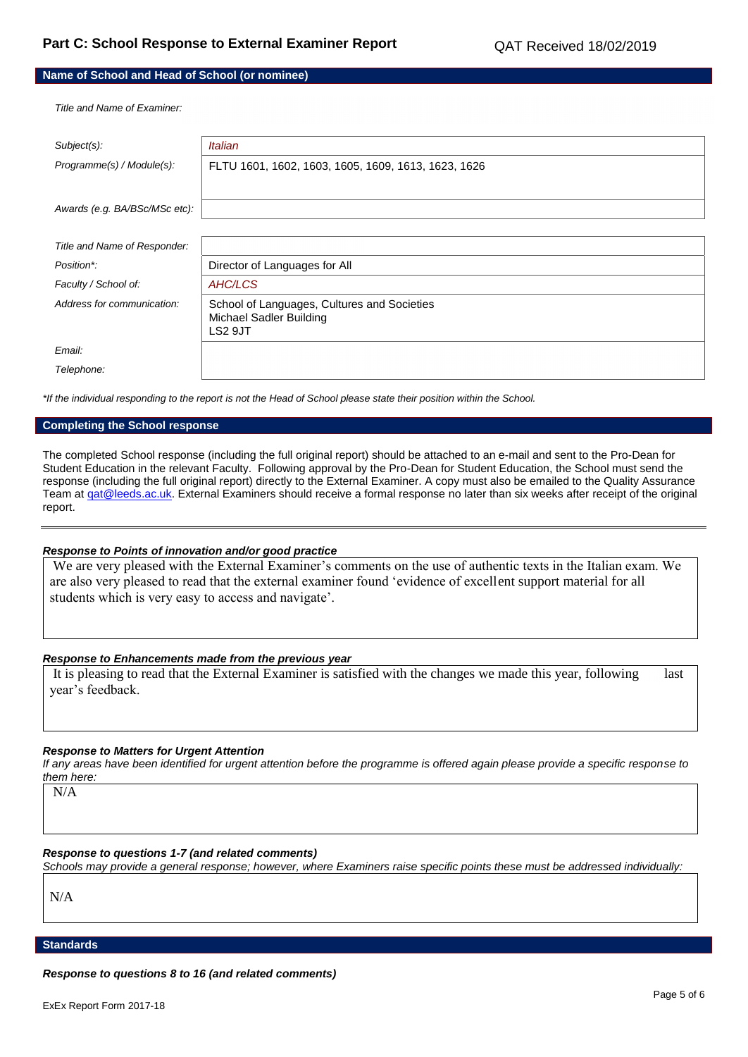# **Name of School and Head of School (or nominee)**

*Title and Name of Examiner:*

| Subject(s):                   | <b>Italian</b>                                                                           |
|-------------------------------|------------------------------------------------------------------------------------------|
| Programme(s) / Module(s):     | FLTU 1601, 1602, 1603, 1605, 1609, 1613, 1623, 1626                                      |
|                               |                                                                                          |
| Awards (e.g. BA/BSc/MSc etc): |                                                                                          |
|                               |                                                                                          |
| Title and Name of Responder:  |                                                                                          |
| Position*:                    | Director of Languages for All                                                            |
| Faculty / School of:          | AHC/LCS                                                                                  |
| Address for communication:    | School of Languages, Cultures and Societies<br><b>Michael Sadler Building</b><br>LS2 9JT |
| Email:                        |                                                                                          |
| Telephone:                    |                                                                                          |

*\*If the individual responding to the report is not the Head of School please state their position within the School.*

#### **Completing the School response**

The completed School response (including the full original report) should be attached to an e-mail and sent to the Pro-Dean for Student Education in the relevant Faculty. Following approval by the Pro-Dean for Student Education, the School must send the response (including the full original report) directly to the External Examiner. A copy must also be emailed to the Quality Assurance Team at gat@leeds.ac.uk. External Examiners should receive a formal response no later than six weeks after receipt of the original report.

#### *Response to Points of innovation and/or good practice*

We are very pleased with the External Examiner's comments on the use of authentic texts in the Italian exam. We are also very pleased to read that the external examiner found 'evidence of excellent support material for all students which is very easy to access and navigate'.

#### *Response to Enhancements made from the previous year*

It is pleasing to read that the External Examiner is satisfied with the changes we made this year, following last year's feedback.

#### *Response to Matters for Urgent Attention*

*If any areas have been identified for urgent attention before the programme is offered again please provide a specific response to them here:*

N/A

## *Response to questions 1-7 (and related comments)*

*Schools may provide a general response; however, where Examiners raise specific points these must be addressed individually:*

N/A

### **Standards**

*Response to questions 8 to 16 (and related comments)*